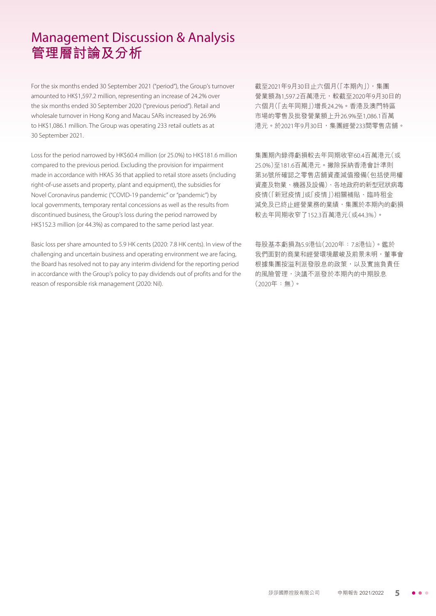For the six months ended 30 September 2021 ("period"), the Group's turnover amounted to HK\$1,597.2 million, representing an increase of 24.2% over the six months ended 30 September 2020 ("previous period"). Retail and wholesale turnover in Hong Kong and Macau SARs increased by 26.9% to HK\$1,086.1 million. The Group was operating 233 retail outlets as at 30 September 2021.

Loss for the period narrowed by HK\$60.4 million (or 25.0%) to HK\$181.6 million compared to the previous period. Excluding the provision for impairment made in accordance with HKAS 36 that applied to retail store assets (including right-of-use assets and property, plant and equipment), the subsidies for Novel Coronavirus pandemic ("COVID-19 pandemic" or "pandemic") by local governments, temporary rental concessions as well as the results from discontinued business, the Group's loss during the period narrowed by HK\$152.3 million (or 44.3%) as compared to the same period last year.

Basic loss per share amounted to 5.9 HK cents (2020: 7.8 HK cents). In view of the challenging and uncertain business and operating environment we are facing, the Board has resolved not to pay any interim dividend for the reporting period in accordance with the Group's policy to pay dividends out of profits and for the reason of responsible risk management (2020: Nil).

截至2021年9月30日止六個月(「本期內」),集團 營業額為1,597.2百萬港元,較截至2020年9月30日的 六個月(「去年同期」)增長24.2%。香港及澳門特區 市場的零售及批發營業額上升26.9%至1,086.1百萬 港元。於2021年9月30日,集團經營233間零售店舖。

集團期內錄得虧損較去年同期收窄60.4百萬港元(或 25.0%)至181.6百萬港元。撇除採納香港會計準則 第36號所確認之零售店舖資產減值撥備(包括使用權 資產及物業、機器及設備)、各地政府的新型冠狀病毒 疫情(「新冠疫情」或「疫情」)相關補貼、臨時租金 減免及已終止經營業務的業績,集團於本期內的虧損 較去年同期收窄了152.3百萬港元(或44.3%)。

每股基本虧損為5.9港仙(2020年:7.8港仙)。鑑於 我們面對的商業和經營環境嚴峻及前景未明,董事會 根據集團按溢利派發股息的政策,以及實施負責任 的風險管理,決議不派發於本期內的中期股息 (2020年:無)。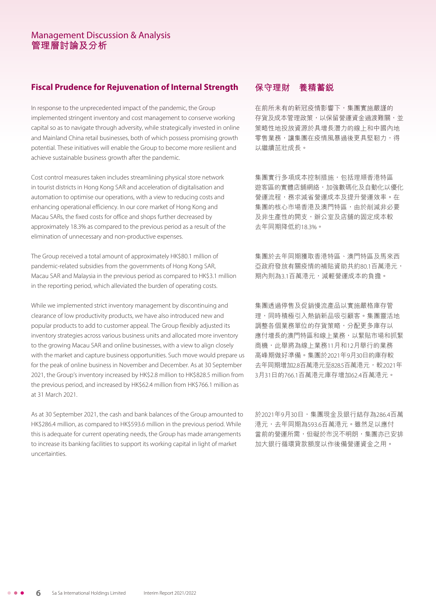# **Fiscal Prudence for Rejuvenation of Internal Strength**

In response to the unprecedented impact of the pandemic, the Group implemented stringent inventory and cost management to conserve working capital so as to navigate through adversity, while strategically invested in online and Mainland China retail businesses, both of which possess promising growth potential. These initiatives will enable the Group to become more resilient and achieve sustainable business growth after the pandemic.

Cost control measures taken includes streamlining physical store network in tourist districts in Hong Kong SAR and acceleration of digitalisation and automation to optimise our operations, with a view to reducing costs and enhancing operational efficiency. In our core market of Hong Kong and Macau SARs, the fixed costs for office and shops further decreased by approximately 18.3% as compared to the previous period as a result of the elimination of unnecessary and non-productive expenses.

The Group received a total amount of approximately HK\$80.1 million of pandemic-related subsidies from the governments of Hong Kong SAR, Macau SAR and Malaysia in the previous period as compared to HK\$3.1 million in the reporting period, which alleviated the burden of operating costs.

While we implemented strict inventory management by discontinuing and clearance of low productivity products, we have also introduced new and popular products to add to customer appeal. The Group flexibly adjusted its inventory strategies across various business units and allocated more inventory to the growing Macau SAR and online businesses, with a view to align closely with the market and capture business opportunities. Such move would prepare us for the peak of online business in November and December. As at 30 September 2021, the Group's inventory increased by HK\$2.8 million to HK\$828.5 million from the previous period, and increased by HK\$62.4 million from HK\$766.1 million as at 31 March 2021.

As at 30 September 2021, the cash and bank balances of the Group amounted to HK\$286.4 million, as compared to HK\$593.6 million in the previous period. While this is adequate for current operating needs, the Group has made arrangements to increase its banking facilities to support its working capital in light of market uncertainties.

# **保守理財 養精蓄銳**

在前所未有的新冠疫情影響下,集團實施嚴謹的 存貨及成本管理政策,以保留營運資金過渡難關,並 策略性地投放資源於具增長潛力的線上和中國內地 零售業務,讓集團在疫情風暴過後更具堅靭力,得 以繼續茁壯成長。

集團實行多項成本控制措施,包括理順香港特區 遊客區的實體店舖網絡,加強數碼化及自動化以優化 營運流程,務求減省營運成本及提升營運效率。在 集團的核心市場香港及澳門特區,由於削減非必要 及非生產性的開支,辦公室及店舖的固定成本較 去年同期降低約18.3%。

集團於去年同期獲取香港特區、澳門特區及馬來西 亞政府發放有關疫情的補貼資助共約80.1百萬港元, 期內則為3.1百萬港元,減輕營運成本的負擔。

集團透過停售及促銷慢流產品以實施嚴格庫存管 理,同時積極引入熱銷新品吸引顧客。集團靈活地 調整各個業務單位的存貨策略,分配更多庫存以 應付增長的澳門特區和線上業務,以緊貼市場和抓緊 商機,此舉將為線上業務11月和12月舉行的業務 高峰期做好準備。集團於2021年9月30日的庫存較 去年同期增加2.8百萬港元至828.5百萬港元,較2021年 3月31日的766.1百萬港元庫存增加62.4百萬港元。

於2021年9月30日,集團現金及銀行結存為286.4百萬 港元,去年同期為593.6百萬港元。雖然足以應付 當前的營運所需,但礙於市況不明朗,集團亦已安排 加大銀行循環貸款額度以作後備營運資金之用。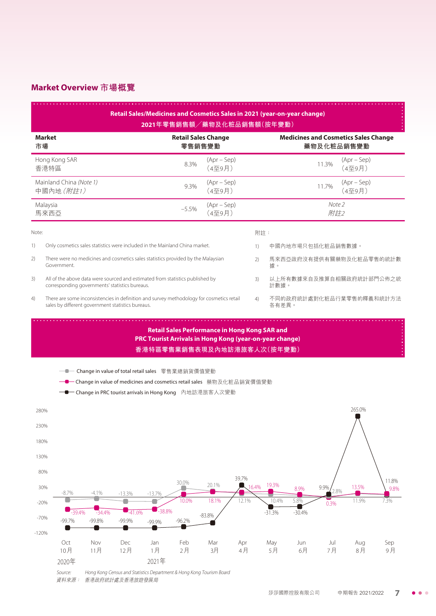# **Market Overview 市場概覽**

|                  |                                                                                                                                               |                    |                                                    |                      |           | Retail Sales/Medicines and Cosmetics Sales in 2021 (year-on-year change)<br>2021年零售銷售額/藥物及化粧品銷售額(按年變動)                                                                                                                                   |           |                  |           |           |                          |                         |               |
|------------------|-----------------------------------------------------------------------------------------------------------------------------------------------|--------------------|----------------------------------------------------|----------------------|-----------|------------------------------------------------------------------------------------------------------------------------------------------------------------------------------------------------------------------------------------------|-----------|------------------|-----------|-----------|--------------------------|-------------------------|---------------|
| 市場               | <b>Market</b><br><b>Retail Sales Change</b><br>零售銷售變動                                                                                         |                    |                                                    |                      |           | <b>Medicines and Cosmetics Sales Change</b><br>藥物及化粧品銷售變動                                                                                                                                                                                |           |                  |           |           |                          |                         |               |
| 香港特區             | Hong Kong SAR                                                                                                                                 |                    |                                                    |                      | 8.3%      | $(Apr - Sep)$<br>(4至9月)                                                                                                                                                                                                                  |           |                  |           |           | 11.3%                    | $(Apr - Sep)$<br>(4至9月) |               |
|                  | Mainland China (Note 1)<br>中國內地 (附註1)                                                                                                         |                    |                                                    |                      | 9.3%      | $(Apr - Sep)$<br>(4至9月)                                                                                                                                                                                                                  |           |                  |           |           | 11.7%                    | $(Apr - Sep)$<br>(4至9月) |               |
| Malaysia<br>馬來西亞 |                                                                                                                                               |                    |                                                    |                      | $-5.5%$   | $(Apr - Sep)$<br>(4至9月)                                                                                                                                                                                                                  |           |                  |           |           | Note 2<br>附註2            |                         |               |
| Note:            |                                                                                                                                               |                    |                                                    |                      |           |                                                                                                                                                                                                                                          |           | 附註:              |           |           |                          |                         |               |
| 1)               | Only cosmetics sales statistics were included in the Mainland China market.                                                                   |                    |                                                    |                      |           |                                                                                                                                                                                                                                          |           | $\left( \right)$ |           |           | 中國內地市場只包括化粧品銷售數據。        |                         |               |
| 2)               | There were no medicines and cosmetics sales statistics provided by the Malaysian<br>Government.                                               |                    |                                                    |                      | 2)        | 馬來西亞政府沒有提供有關藥物及化粧品零售的統計數<br>據。                                                                                                                                                                                                           |           |                  |           |           |                          |                         |               |
| 3)               | All of the above data were sourced and estimated from statistics published by<br>corresponding governments' statistics bureaus.               |                    |                                                    |                      | 3)        | 以上所有數據來自及推算自相關政府統計部門公佈之統<br>計數據。                                                                                                                                                                                                         |           |                  |           |           |                          |                         |               |
| 4)               | There are some inconsistencies in definition and survey methodology for cosmetics retail<br>sales by different government statistics bureaus. |                    |                                                    |                      |           |                                                                                                                                                                                                                                          |           | 4)               | 各有差異。     |           | 不同的政府統計處對化粧品行業零售的釋義和統計方法 |                         |               |
|                  |                                                                                                                                               |                    | 一 Change in value of total retail sales 零售業總銷貨價值變動 |                      |           | PRC Tourist Arrivals in Hong Kong (year-on-year change)<br>香港特區零售業銷售表現及內地訪港旅客人次(按年變動)<br>-Change in value of medicines and cosmetics retail sales    藥物及化粧品銷貨價值變動<br><del>■</del> Change in PRC tourist arrivals in Hong Kong 內地訪港旅客人次變動 |           |                  |           |           |                          |                         |               |
| 280%             |                                                                                                                                               |                    |                                                    |                      |           |                                                                                                                                                                                                                                          |           |                  |           |           |                          | 265.0%                  |               |
| 230%<br>180%     |                                                                                                                                               |                    |                                                    |                      |           |                                                                                                                                                                                                                                          |           |                  |           |           |                          |                         |               |
| 130%             |                                                                                                                                               |                    |                                                    |                      |           |                                                                                                                                                                                                                                          |           |                  |           |           |                          |                         |               |
| 80%              |                                                                                                                                               |                    |                                                    |                      |           |                                                                                                                                                                                                                                          | 39.7%     |                  |           |           |                          |                         |               |
| 30%              | $-8.7\%$                                                                                                                                      | -4.1%              |                                                    |                      | 30.0%     | 20.1%                                                                                                                                                                                                                                    | $16.4\%$  |                  | 19.3%     | 8.9%      | 9.9%<br>2.8%             | 13.5%                   | 11.8%<br>9.8% |
| $-20%$           |                                                                                                                                               |                    | -13.3%                                             | $-13.7%$             | 10.0%     | 18.1%                                                                                                                                                                                                                                    | 12.1%     |                  | 10.4%     | $5.8\%$   | 0.3%                     | 11.9%                   | 7.3%          |
| $-70%$           | $-39.4%$<br>$-99.7%$                                                                                                                          | $-34.4%$<br>-99.8% | $-41.0%$<br>-99.9%                                 | $-38.8%$<br>$-99.9%$ | $-96.2%$  | $-83.8%$                                                                                                                                                                                                                                 |           |                  | $-31.3%$  | $-30.4%$  |                          |                         |               |
| $-120%$          |                                                                                                                                               |                    |                                                    |                      |           |                                                                                                                                                                                                                                          |           |                  |           |           |                          |                         |               |
|                  | Oct<br>10月<br>2020年                                                                                                                           | Nov<br>11月         | Dec<br>12月                                         | Jan<br>1月<br>2021年   | Feb<br>2月 | Mar<br>3月                                                                                                                                                                                                                                | Apr<br>4月 |                  | May<br>5月 | Jun<br>6月 | Jul<br>7月                | Aug<br>8 <sup>7</sup>   | Sep<br>9月     |

Source: Hong Kong Census and Statistics Department & Hong Kong Tourism Board 資料來源: 香港政府統計處及香港旅遊發展局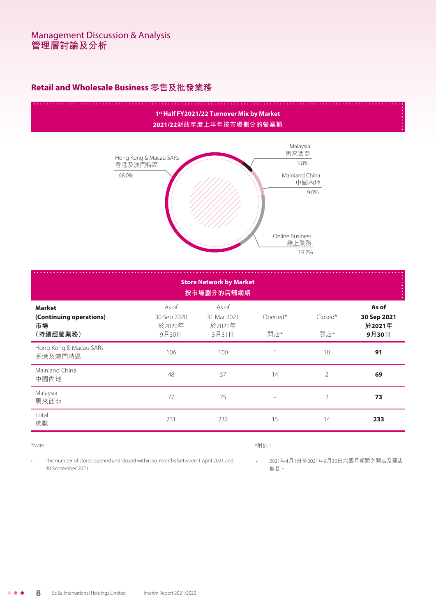# **Retail and Wholesale Business 零售及批發業務**

# **1st Half FY2021/22 Turnover Mix by Market 2021/22財政年度上半年按市場劃分的營業額**



| <b>Store Network by Market</b><br>按市場劃分的店舖網絡               |                                         |                                         |                |                  |                                         |  |  |
|------------------------------------------------------------|-----------------------------------------|-----------------------------------------|----------------|------------------|-----------------------------------------|--|--|
| <b>Market</b><br>(Continuing operations)<br>市場<br>(持續經營業務) | As of<br>30 Sep 2020<br>於2020年<br>9月30日 | As of<br>31 Mar 2021<br>於2021年<br>3月31日 | Opened*<br>開店* | $Closed*$<br>關店* | As of<br>30 Sep 2021<br>於2021年<br>9月30日 |  |  |
| Hong Kong & Macau SARs<br>香港及澳門特區                          | 106                                     | 100                                     |                | 10               | 91                                      |  |  |
| Mainland China<br>中國內地                                     | 48                                      | 57                                      | 14             | $\overline{2}$   | 69                                      |  |  |
| Malaysia<br>馬來西亞                                           | 77                                      | 75                                      |                | $\overline{2}$   | 73                                      |  |  |
| Total<br>總數                                                | 231                                     | 232                                     | 15             | 14               | 233                                     |  |  |

#### \*Note:

### \*附註:

• The number of stores opened and closed within six months between 1 April 2021 and 30 September 2021.

• 2021年4月1日至2021年9月30日六個月期間之開店及關店 數目。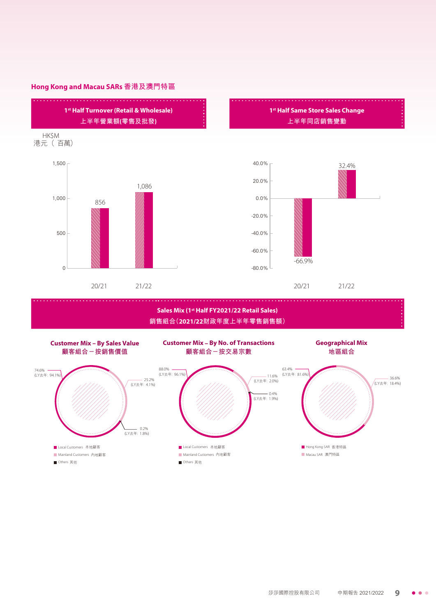### **Hong Kong and Macau SARs 香港及澳門特區**



**銷售組合(2021/22財政年度上半年零售銷售額)**

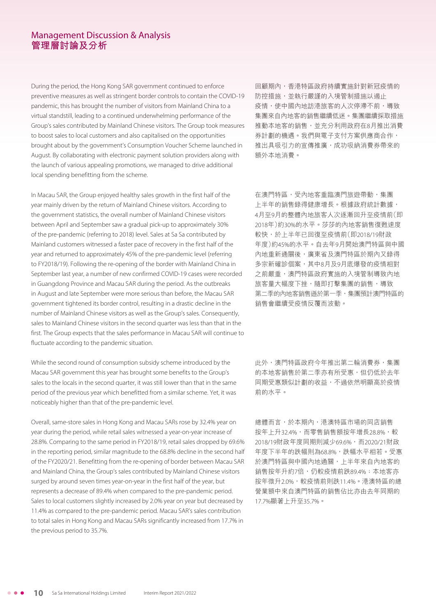During the period, the Hong Kong SAR government continued to enforce preventive measures as well as stringent border controls to contain the COVID-19 pandemic, this has brought the number of visitors from Mainland China to a virtual standstill, leading to a continued underwhelming performance of the Group's sales contributed by Mainland Chinese visitors. The Group took measures to boost sales to local customers and also capitalised on the opportunities brought about by the government's Consumption Voucher Scheme launched in August. By collaborating with electronic payment solution providers along with the launch of various appealing promotions, we managed to drive additional local spending benefitting from the scheme.

In Macau SAR, the Group enjoyed healthy sales growth in the first half of the year mainly driven by the return of Mainland Chinese visitors. According to the government statistics, the overall number of Mainland Chinese visitors between April and September saw a gradual pick-up to approximately 30% of the pre-pandemic (referring to 2018) level. Sales at Sa Sa contributed by Mainland customers witnessed a faster pace of recovery in the first half of the year and returned to approximately 45% of the pre-pandemic level (referring to FY2018/19). Following the re-opening of the border with Mainland China in September last year, a number of new confirmed COVID-19 cases were recorded in Guangdong Province and Macau SAR during the period. As the outbreaks in August and late September were more serious than before, the Macau SAR government tightened its border control, resulting in a drastic decline in the number of Mainland Chinese visitors as well as the Group's sales. Consequently, sales to Mainland Chinese visitors in the second quarter was less than that in the first. The Group expects that the sales performance in Macau SAR will continue to fluctuate according to the pandemic situation.

While the second round of consumption subsidy scheme introduced by the Macau SAR government this year has brought some benefits to the Group's sales to the locals in the second quarter, it was still lower than that in the same period of the previous year which benefitted from a similar scheme. Yet, it was noticeably higher than that of the pre-pandemic level.

Overall, same-store sales in Hong Kong and Macau SARs rose by 32.4% year on year during the period, while retail sales witnessed a year-on-year increase of 28.8%. Comparing to the same period in FY2018/19, retail sales dropped by 69.6% in the reporting period, similar magnitude to the 68.8% decline in the second half of the FY2020/21. Benefitting from the re-opening of border between Macau SAR and Mainland China, the Group's sales contributed by Mainland Chinese visitors surged by around seven times year-on-year in the first half of the year, but represents a decrease of 89.4% when compared to the pre-pandemic period. Sales to local customers slightly increased by 2.0% year on year but decreased by 11.4% as compared to the pre-pandemic period. Macau SAR's sales contribution to total sales in Hong Kong and Macau SARs significantly increased from 17.7% in the previous period to 35.7%.

回顧期內,香港特區政府持續實施針對新冠疫情的 防控措施,並執行嚴謹的入境管制措施以遏止 疫情,使中國內地訪港旅客的人次停滯不前,導致 集團來自內地客的銷售繼續低迷。集團繼續採取措施 推動本地客的銷售,並充分利用政府在8月推出消費 券計劃的機遇。我們與電子支付方案供應商合作, 推出具吸引力的宣傳推廣,成功吸納消費券帶來的 額外本地消費。

在澳門特區,受內地客重臨澳門旅遊帶動,集團 上半年的銷售錄得健康增長。根據政府統計數據, 4月至9月的整體內地旅客人次逐漸回升至疫情前(即 2018年)約30%的水平。莎莎的內地客銷售復甦速度 較快,於上半年已回復至疫情前(即2018/19財政 年度)約45%的水平。自去年9月開始澳門特區與中國 內地重新通關後,廣東省及澳門特區於期內又錄得 多宗新確診個案,其中8月及9月底爆發的疫情相對 之前嚴重,澳門特區政府實施的入境管制導致內地 旅客量大幅度下挫,隨即打擊集團的銷售,導致 第二季的內地客銷售遜於第一季,集團預計澳門特區的 銷售會繼續受疫情反覆而波動。

此外,澳門特區政府今年推出第二輪消費券,集團 的本地客銷售於第二季亦有所受惠,但仍低於去年 同期受惠類似計劃的收益,不過依然明顯高於疫情 前的水平。

總體而言,於本期內,港澳特區市場的同店銷售 按年上升32.4%,而零售銷售額按年增長28.8%,較 2018/19財政年度同期則減少69.6%,而2020/21財政 年度下半年的跌幅則為68.8%,跌幅水平相若。受惠 於澳門特區與中國內地通關,上半年來自內地客的 銷售按年升約7倍,仍較疫情前跌89.4%;本地客亦 按年微升2.0%,較疫情前則跌11.4%。港澳特區的總 營業額中來自澳門特區的銷售佔比亦由去年同期的 17.7%顯著上升至35.7%。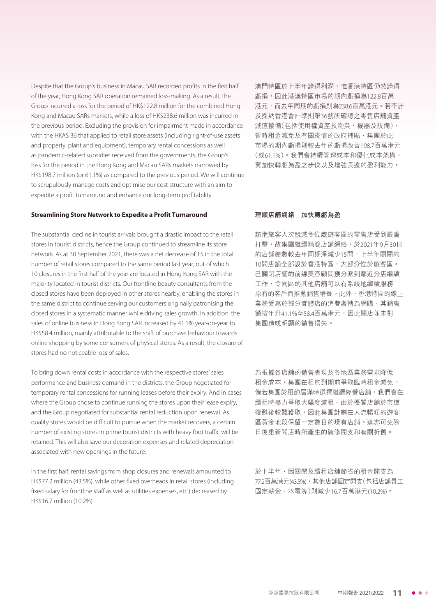Despite that the Group's business in Macau SAR recorded profits in the first half of the year, Hong Kong SAR operation remained loss-making. As a result, the Group incurred a loss for the period of HK\$122.8 million for the combined Hong Kong and Macau SARs markets, while a loss of HK\$238.6 million was incurred in the previous period. Excluding the provision for impairment made in accordance with the HKAS 36 that applied to retail store assets (including right-of-use assets and property, plant and equipment), temporary rental concessions as well as pandemic-related subsidies received from the governments, the Group's loss for the period in the Hong Kong and Macau SARs markets narrowed by HK\$198.7 million (or 61.1%) as compared to the previous period. We will continue to scrupulously manage costs and optimise our cost structure with an aim to expedite a profit turnaround and enhance our long-term profitability.

澳門特區於上半年錄得利潤,惟香港特區仍然錄得 虧損,因此港澳特區市場的期內虧損為122.8百萬 港元,而去年同期的虧損則為238.6百萬港元。若不計 及採納香港會計準則第36號所確認之零售店舖資產 減值撥備(包括使用權資產及物業、機器及設備)、 暫時租金減免及有關疫情的政府補貼,集團於此 市場的期內虧損則較去年的虧損改善198.7百萬港元 (或61.1%)。我們會持續管理成本和優化成本架構, 冀加快轉虧為盈之步伐以及增強長遠的盈利能力。

#### **Streamlining Store Network to Expedite a Profit Turnaround**

The substantial decline in tourist arrivals brought a drastic impact to the retail stores in tourist districts, hence the Group continued to streamline its store network. As at 30 September 2021, there was a net decrease of 15 in the total number of retail stores compared to the same period last year, out of which 10 closures in the first half of the year are located in Hong Kong SAR with the majority located in tourist districts. Our frontline beauty consultants from the closed stores have been deployed in other stores nearby, enabling the stores in the same district to continue serving our customers originally patronising the closed stores in a systematic manner while driving sales growth. In addition, the sales of online business in Hong Kong SAR increased by 41.1% year-on-year to HK\$58.4 million, mainly attributable to the shift of purchase behaviour towards online shopping by some consumers of physical stores. As a result, the closure of stores had no noticeable loss of sales.

To bring down rental costs in accordance with the respective stores' sales performance and business demand in the districts, the Group negotiated for temporary rental concessions for running leases before their expiry. And in cases where the Group chose to continue running the stores upon their lease expiry, and the Group negotiated for substantial rental reduction upon renewal. As quality stores would be difficult to pursue when the market recovers, a certain number of existing stores in prime tourist districts with heavy foot traffic will be retained. This will also save our decoration expenses and related depreciation associated with new openings in the future.

In the first half, rental savings from shop closures and renewals amounted to HK\$77.2 million (43.5%), while other fixed overheads in retail stores (including fixed salary for frontline staff as well as utilities expenses, etc.) decreased by HK\$16.7 million (10.2%).

#### **理順店舖網絡 加快轉虧為盈**

訪港旅客人次銳減令位處遊客區的零售店受到嚴重 打擊,故集團繼續精簡店舖網絡,於2021年9月30日 的店舖總數較去年同期淨減少15間,上半年關閉的 10間店舖全部設於香港特區,大部分位於遊客區。 已關閉店舖的前線美容顧問獲分派到鄰近分店繼續 工作,令同區的其他店舖可以有系統地繼續服務 原有的客戶而推動銷售增長。此外,香港特區的線上 業務受惠於部分實體店的消費者轉為網購,其銷售 額按年升41.1%至58.4百萬港元,因此關店並未對 集團造成明顯的銷售損失。

為根據各店舖的銷售表現及各地區業務需求降低 租金成本,集團在租約到期前爭取臨時租金減免。 **倘若集團於租約屆滿時選擇繼續經營店舖,我們會在** 續租時盡力爭取大幅度減租。由於優質店舖於市道 復甦後較難獲取,因此集團計劃在人流暢旺的遊客 區黃金地段保留一定數目的現有店舖。這亦可免除 日後重新開店時所產生的裝修開支和有關折舊。

於上半年,因關閉及續租店舖節省的租金開支為 77.2百萬港元(43.5%),其他店舖固定開支(包括店舖員工 固定薪金、水電等)則減少16.7百萬港元(10.2%)。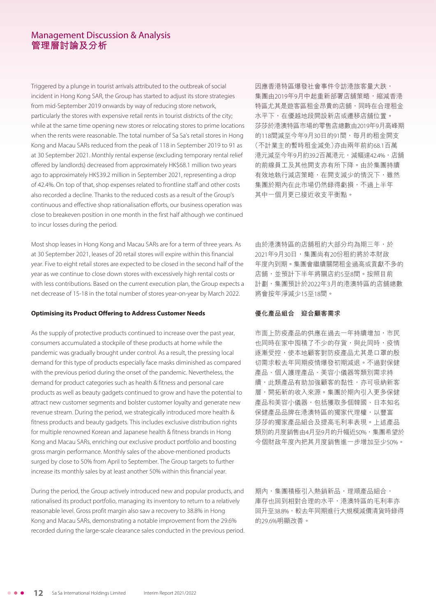Triggered by a plunge in tourist arrivals attributed to the outbreak of social incident in Hong Kong SAR, the Group has started to adjust its store strategies from mid-September 2019 onwards by way of reducing store network, particularly the stores with expensive retail rents in tourist districts of the city; while at the same time opening new stores or relocating stores to prime locations when the rents were reasonable. The total number of Sa Sa's retail stores in Hong Kong and Macau SARs reduced from the peak of 118 in September 2019 to 91 as at 30 September 2021. Monthly rental expense (excluding temporary rental relief offered by landlords) decreased from approximately HK\$68.1 million two years ago to approximately HK\$39.2 million in September 2021, representing a drop of 42.4%. On top of that, shop expenses related to frontline staff and other costs also recorded a decline. Thanks to the reduced costs as a result of the Group's continuous and effective shop rationalisation efforts, our business operation was close to breakeven position in one month in the first half although we continued to incur losses during the period.

Most shop leases in Hong Kong and Macau SARs are for a term of three years. As at 30 September 2021, leases of 20 retail stores will expire within this financial year. Five to eight retail stores are expected to be closed in the second half of the year as we continue to close down stores with excessively high rental costs or with less contributions. Based on the current execution plan, the Group expects a net decrease of 15-18 in the total number of stores year-on-year by March 2022.

#### **Optimising its Product Offering to Address Customer Needs**

As the supply of protective products continued to increase over the past year, consumers accumulated a stockpile of these products at home while the pandemic was gradually brought under control. As a result, the pressing local demand for this type of products especially face masks diminished as compared with the previous period during the onset of the pandemic. Nevertheless, the demand for product categories such as health & fitness and personal care products as well as beauty gadgets continued to grow and have the potential to attract new customer segments and bolster customer loyalty and generate new revenue stream. During the period, we strategically introduced more health & fitness products and beauty gadgets. This includes exclusive distribution rights for multiple renowned Korean and Japanese health & fitness brands in Hong Kong and Macau SARs, enriching our exclusive product portfolio and boosting gross margin performance. Monthly sales of the above-mentioned products surged by close to 50% from April to September. The Group targets to further increase its monthly sales by at least another 50% within this financial year.

During the period, the Group actively introduced new and popular products, and rationalised its product portfolio, managing its inventory to return to a relatively reasonable level. Gross profit margin also saw a recovery to 38.8% in Hong Kong and Macau SARs, demonstrating a notable improvement from the 29.6% recorded during the large-scale clearance sales conducted in the previous period.

因應香港特區爆發社會事件令訪港旅客量大跌, 集團由2019年9月中起重新部署店舖策略,縮減香港 特區尤其是遊客區租金昂貴的店舖,同時在合理租金 水平下,在優越地段開設新店或遷移店舖位置。 莎莎於港澳特區市場的零售店總數由2019年9月高峰期 的118間減至今年9月30日的91間,每月的租金開支 (不計業主的暫時租金減免)亦由兩年前約68.1百萬 港元減至今年9月約39.2百萬港元,減幅達42.4%,店舖 的前線員工及其他開支亦有所下降。由於集團持續 有效地執行減店策略,在開支減少的情況下,雖然 集團於期內在此市場仍然錄得虧損,不過上半年 其中一個月更已接近收支平衡點。

由於港澳特區的店舖租約大部分均為期三年,於 2021年9月30日,集團尚有20份租約將於本財政 年度內到期。集團會繼續關閉租金過高或貢獻不多的 店舖,並預計下半年將關店約5至8間。按照目前 計劃,集團預計於2022年3月的港澳特區的店舖總數 將會按年淨減少15至18間。

#### **優化產品組合 迎合顧客需求**

市面上防疫產品的供應在過去一年持續增加,市民 也同時在家中囤積了不少的存貨,與此同時,疫情 逐漸受控,使本地顧客對防疫產品尤其是口罩的殷 切需求較去年同期疫情爆發初期減退。不過對保健 產品、個人護理產品、美容小儀器等類別需求持 續,此類產品有助加強顧客的黏性,亦可吸納新客 層,開拓新的收入來源。集團於期內引入更多保健 産品和美容小儀器,包括獲取多個韓國、日本知名 保健產品品牌在港澳特區的獨家代理權,以豐富 莎莎的獨家產品組合及提高毛利率表現。上述產品 類別的月度銷售由4月至9月的升幅近50%,集團希望於 今個財政年度內把其月度銷售進一步增加至少50%。

期內,集團積極引入熱銷新品,理順產品組合, 庫存也回到相對合理的水平,港澳特區的毛利率亦 回升至38.8%,較去年同期進行大規模減價清貨時錄得 的29.6%明顯改善。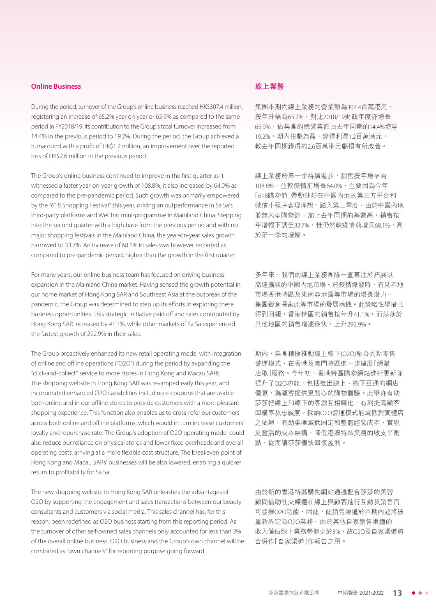#### **Online Business**

During the period, turnover of the Group's online business reached HK\$307.4 million, registering an increase of 65.2% year on year or 65.9% as compared to the same period in FY2018/19. Its contribution to the Group's total turnover increased from 14.4% in the previous period to 19.2%. During the period, the Group achieved a turnaround with a profit of HK\$1.2 million, an improvement over the reported loss of HK\$2.6 million in the previous period.

The Group's online business continued to improve in the first quarter as it witnessed a faster year-on-year growth of 108.8%, it also increased by 64.0% as compared to the pre-pandemic period. Such growth was primarily empowered by the "618 Shopping Festival" this year, driving an outperformance in Sa Sa's third-party platforms and WeChat mini-programme in Mainland China. Stepping into the second quarter with a high base from the previous period and with no major shopping festivals in the Mainland China, the year-on-year sales growth narrowed to 33.7%. An increase of 68.1% in sales was however recorded as compared to pre-pandemic period, higher than the growth in the first quarter.

For many years, our online business team has focused on driving business expansion in the Mainland China market. Having sensed the growth potential in our home market of Hong Kong SAR and Southeast Asia at the outbreak of the pandemic, the Group was determined to step up its efforts in exploring these business opportunities. This strategic initiative paid off and sales contributed by Hong Kong SAR increased by 41.1%, while other markets of Sa Sa experienced the fastest growth of 292.9% in their sales.

The Group proactively enhanced its new retail operating model with integration of online and offline operations ("O2O") during the period by expanding the "click-and-collect" service to more stores in Hong Kong and Macau SARs. The shopping website in Hong Kong SAR was revamped early this year, and incorporated enhanced O2O capabilities including e-coupons that are usable both online and in our offline stores to provide customers with a more pleasant shopping experience. This function also enables us to cross-refer our customers across both online and offline platforms, which would in turn increase customers' loyalty and repurchase rate. The Group's adoption of O2O operating model could also reduce our reliance on physical stores and lower fixed overheads and overall operating costs, arriving at a more flexible cost structure. The breakeven point of Hong Kong and Macau SARs' businesses will be also lowered, enabling a quicker return to profitability for Sa Sa.

The new shopping website in Hong Kong SAR unleashes the advantages of O2O by supporting the engagement and sales transactions between our beauty consultants and customers via social media. This sales channel has, for this reason, been redefined as O2O business starting from this reporting period. As the turnover of other self-owned sales channels only accounted for less than 3% of the overall online business, O2O business and the Group's own channel will be combined as "own channels" for reporting purpose going forward.

#### **線上業務**

集團本期內線上業務的營業額為3074百萬港元, 按年升幅為65.2%,對比2018/19財政年度亦增長 65.9%,佔集團的總營業額由去年同期的14.4%增至 19.2%。期內扭虧為盈,錄得利潤1.2百萬港元, 較去年同期錄得的2.6百萬港元虧損有所改善。

線上業務於第一季持續進步,銷售按年增幅為 108.8%,並較疫情前增長64.0%,主要因為今年 「618購物節」帶動莎莎在中國內地的第三方平台和 微信小程序表現理想。踏入第二季度,由於中國內地 並無大型購物節,加上去年同期的基數高,銷售按 年增幅下調至33.7%,惟仍然較疫情前增長68.1%,高 於第一季的增幅。

多年來,我們的線上業務團隊一直專注於拓展以 高速擴展的中國內地市場。於疫情爆發時,有見本地 市場香港特區及東南亞地區等市場的增長潛力, 集團銳意探索此等市場的發展商機。此策略性舉措已 得到回報,香港特區的銷售按年升41.1%,而莎莎於 其他地區的銷售增速最快,上升292.9%。

期內,集團積極推動線上線下(O2O)融合的新零售 營運模式,在香港及澳門特區進一步擴展「網購 店取 |服務。今年初,香港特區購物網站進行更新並 提升了O2O功能,包括推出線上、線下互通的網店 優惠,為顧客提供更貼心的購物體驗。此舉亦有助 莎莎把線上和線下的客源互相轉化,有利提高顧客 回購率及忠誠度。採納O2O營運模式能減低對實體店 之依賴,有助集團減低固定和整體經營成本,實現 更靈活的成本結構,降低港澳特區業務的收支平衡 點,從而讓莎莎儘快回復盈利。

由於新的香港特區購物網站通過配合莎莎的美容 顧問借助社交媒體在線上與顧客進行互動及銷售而 可發揮O2O功能,因此,此銷售渠道於本期內起將被 重新界定為O2O業務。由於其他自家銷售渠道的 收入僅佔線上業務整體少於3%, 故O2O及自家渠道將 合併作「自家渠道」作報告之用。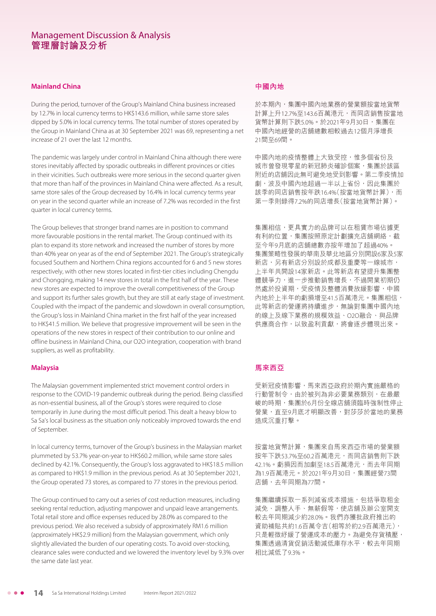#### **Mainland China**

During the period, turnover of the Group's Mainland China business increased by 12.7% in local currency terms to HK\$143.6 million, while same store sales dipped by 5.0% in local currency terms. The total number of stores operated by the Group in Mainland China as at 30 September 2021 was 69, representing a net increase of 21 over the last 12 months.

The pandemic was largely under control in Mainland China although there were stores inevitably affected by sporadic outbreaks in different provinces or cities in their vicinities. Such outbreaks were more serious in the second quarter given that more than half of the provinces in Mainland China were affected. As a result, same store sales of the Group decreased by 16.4% in local currency terms year on year in the second quarter while an increase of 7.2% was recorded in the first quarter in local currency terms.

The Group believes that stronger brand names are in position to command more favourable positions in the rental market. The Group continued with its plan to expand its store network and increased the number of stores by more than 40% year on year as of the end of September 2021. The Group's strategically focused Southern and Northern China regions accounted for 6 and 5 new stores respectively, with other new stores located in first-tier cities including Chengdu and Chongqing, making 14 new stores in total in the first half of the year. These new stores are expected to improve the overall competitiveness of the Group and support its further sales growth, but they are still at early stage of investment. Coupled with the impact of the pandemic and slowdown in overall consumption, the Group's loss in Mainland China market in the first half of the year increased to HK\$41.5 million. We believe that progressive improvement will be seen in the operations of the new stores in respect of their contribution to our online and offline business in Mainland China, our O2O integration, cooperation with brand suppliers, as well as profitability.

#### **Malaysia**

The Malaysian government implemented strict movement control orders in response to the COVID-19 pandemic outbreak during the period. Being classified as non-essential business, all of the Group's stores were required to close temporarily in June during the most difficult period. This dealt a heavy blow to Sa Sa's local business as the situation only noticeably improved towards the end of September.

In local currency terms, turnover of the Group's business in the Malaysian market plummeted by 53.7% year-on-year to HK\$60.2 million, while same store sales declined by 42.1%. Consequently, the Group's loss aggravated to HK\$18.5 million as compared to HK\$1.9 million in the previous period. As at 30 September 2021, the Group operated 73 stores, as compared to 77 stores in the previous period.

The Group continued to carry out a series of cost reduction measures, including seeking rental reduction, adjusting manpower and unpaid leave arrangements. Total retail store and office expenses reduced by 28.0% as compared to the previous period. We also received a subsidy of approximately RM1.6 million (approximately HK\$2.9 million) from the Malaysian government, which only slightly alleviated the burden of our operating costs. To avoid over-stocking, clearance sales were conducted and we lowered the inventory level by 9.3% over the same date last year.

#### **中國內地**

於本期內,集團中國內地業務的營業額按當地貨幣 計算上升12.7%至143.6百萬港元,而同店銷售按當地 貨幣計算則下跌5.0%。於2021年9月30日,集團在 中國內地經營的店舖總數相較過去12個月淨增長 21間至69間。

中國內地的疫情整體上大致受控,惟多個省份及 城市曾發現零星的新冠肺炎確診個案,集團於該區 附近的店舖因此無可避免地受到影響。第二季疫情加 劇,波及中國內地超過一半以上省份,因此集團於 該季的同店銷售按年跌16.4%(按當地貨幣計算),而 第一季則錄得7.2%的同店增長(按當地貨幣計算)。

集團相信,更具實力的品牌可以在租賃市場佔據更 有利的位置,集團按照原定計劃擴充店舖網絡,截 至今年9月底的店舖總數亦按年增加了超過40%。 集團策略性發展的華南及華北地區分別開設6家及5家 新店,另有新店分別設於成都及重慶等一線城市, 上半年共開設14家新店。此等新店有望提升集團整 體競爭力,進一步推動銷售增長,不過開業初期仍 然處於投資期,受疫情及整體消費放緩影響,中國 內地於上半年的虧損增至41.5百萬港元。集團相信, 此等新店的營運將持續進步,無論對集團中國內地 的線上及線下業務的規模效益、O2O融合、與品牌 供應商合作,以致盈利貢獻,將會逐步體現出來。

#### **馬來西亞**

受新冠疫情影響,馬來西亞政府於期內實施嚴格的 行動管制令,由於被列為非必要業務類別,在最嚴 峻的時期,集團於6月份全線店舖須臨時強制性停止 營業,直至9月底才明顯改善,對莎莎於當地的業務 造成沉重打擊。

按當地貨幣計算,集團來自馬來西亞市場的營業額 按年下跌53.7%至60.2百萬港元,而同店銷售則下跌 42.1%。虧損因而加劇至18.5百萬港元,而去年同期 為1.9百萬港元。於2021年9月30日,集團經營73間 店舖,去年同期為77間。

集團繼續採取一系列減省成本措施,包括爭取租金 減免、調整人手、無薪假等,使店舖及辦公室開支 較去年同期減少約28.0%。我們亦獲批政府推出的 資助補貼共約1.6百萬令吉(相等於約2.9百萬港元), 只是輕微紓緩了營運成本的壓力。為避免存貨積壓, 集團透過清貨促銷活動減低庫存水平,較去年同期 相比減低了9.3%。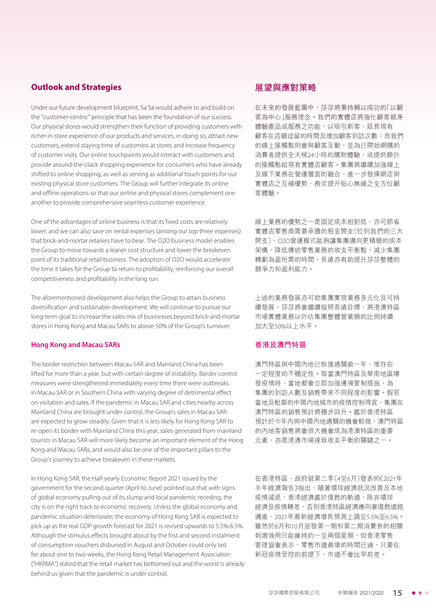### **Outlook and Strategies**

Under our future development blueprint, Sa Sa would adhere to and build on the "customer-centric" principle that has been the foundation of our success. Our physical stores would strengthen their function of providing customers with richer in-store experience of our products and services, in doing so, attract new customers, extend staying time of customers at stores and increase frequency of customer visits. Our online touchpoints would interact with customers and provide around-the-clock shopping experience for consumers who have already shifted to online shopping, as well as serving as additional touch points for our existing physical store customers. The Group will further integrate its online and offline operations so that our online and physical stores complement one another to provide comprehensive seamless customer experience.

One of the advantages of online business is that its fixed costs are relatively lower, and we can also save on rental expenses (among our top three expenses) that brick-and-mortar retailers have to bear. The O2O business model enables the Group to move towards a leaner cost structure and lower the breakeven point of its traditional retail business. The adoption of O2O would accelerate the time it takes for the Group to return to profitability, reinforcing our overall competitiveness and profitability in the long run.

The aforementioned development also helps the Group to attain business diversification and sustainable development. We will continue to pursue our long-term goal to increase the sales mix of businesses beyond brick-and-mortar stores in Hong Kong and Macau SARs to above 50% of the Group's turnover.

#### **Hong Kong and Macau SARs**

The border restriction between Macau SAR and Mainland China has been lifted for more than a year, but with certain degree of instability. Border control measures were strengthened immediately every time there were outbreaks in Macau SAR or in Southern China with varying degree of detrimental effect on visitation and sales. If the pandemic in Macau SAR and cities nearby across Mainland China are brought under control, the Group's sales in Macau SAR are expected to grow steadily. Given that it is less likely for Hong Kong SAR to re-open its border with Mainland China this year, sales generated from mainland tourists in Macau SAR will more likely become an important element of the Hong Kong and Macau SARs, and would also be one of the important pillars to the Group's journey to achieve breakeven in these markets.

In Hong Kong SAR, the Half-yearly Economic Report 2021 issued by the government for the second quarter (April to June) pointed out that with signs of global economy pulling out of its slump and local pandemic receding, the city is on the right track to economic recovery. Unless the global economy and pandemic situation deteriorate, the economy of Hong Kong SAR is expected to pick up as the real GDP growth forecast for 2021 is revised upwards to 5.5%-6.5%. Although the stimulus effects brought about by the first and second instalment of consumption vouchers disbursed in August and October could only last for about one to two weeks, the Hong Kong Retail Management Association ("HKRMA") stated that the retail market has bottomed out and the worst is already behind us given that the pandemic is under control.

# **展望與應對策略**

在未來的發展藍圖中,莎莎將秉持賴以成功的「以顧 客為中心」服務理念。我們的實體店將強化顧客親身 體驗產品或服務之功能,以吸引新客、延長現有 顧客在店舖逗留的時間及增加顧客到訪次數;而我們 的線上接觸點則會與顧客互動,並為已開始網購的 消費者提供全天候24小時的購物體驗,或提供額外 的接觸點給現有實體店顧客。集團將繼續加強線上 及線下業務在營運層面的融合,進一步發揮網店與 實體店之互補優勢,務求提升貼心無縫之全方位顧 客體驗。

線上業務的優勢之一是固定成本相對低,亦可節省 實體店零售商需要承擔的租金開支(位列我們的三大 開支),O2O營運模式能夠讓集團邁向更精簡的成本 架構,降低傳統零售業務的收支平衡點,減少集團 轉虧為盈所需的時間,長遠亦有助提升莎莎整體的 競爭力和盈利能力。

上述的業務發展亦可助集團實現業務多元化及可持 續發展,莎莎將會繼續按照長遠目標,將港澳特區 市場實體業務以外佔集團整體營業額的比例持續 加大至50%以上水平。

#### **香港及澳門特區**

澳門特區與中國內地已恢復通關逾一年,惟存在 一定程度的不穩定性。每當澳門特區及華南地區爆 發疫情時,當地都會立即加強邊境管制措施,為 集團的到訪人數及銷售帶來不同程度的影響。假若 當地及毗鄰的中國內地城市的疫情控制得宜,集團在 澳門特區的銷售預計將穩步回升。鑑於香港特區 預計於今年內與中國內地通關的機會較微,澳門特區 的內地客銷售將會很大機會成為港澳特區的重要 元素,亦是港澳市場達致收支平衡的關鍵之一。

在香港特區,政府就第二季(4至6月)發表的《2021年 半年經濟報告》指出,隨著環球經濟狀況改善及本地 疫情減退,香港經濟處於復甦的軌道,除非環球 經濟及疫情轉差,否則香港特區經濟應向著復甦道路 邁進,2021年最新經濟增長預測上調至5.5%至6.5%。 雖然於8月和10月派發第一期和第二期消費券的相關 刺激效用只能維持約一至兩個星期,但香港零售 管理協會表示,零售市道最壞的時間已過,只要在 新冠疫情受控的前提下,市道不會比早前差。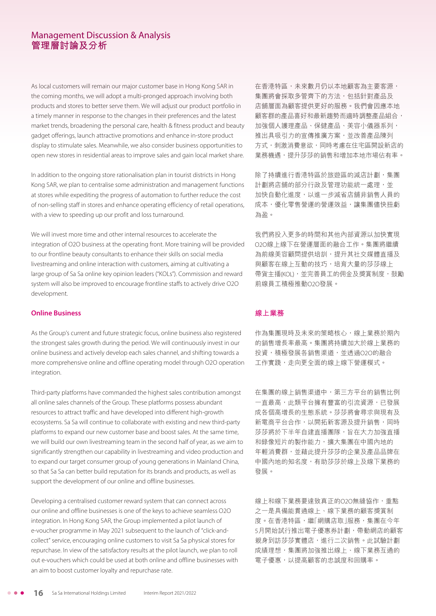As local customers will remain our major customer base in Hong Kong SAR in the coming months, we will adopt a multi-pronged approach involving both products and stores to better serve them. We will adjust our product portfolio in a timely manner in response to the changes in their preferences and the latest market trends, broadening the personal care, health & fitness product and beauty gadget offerings, launch attractive promotions and enhance in-store product display to stimulate sales. Meanwhile, we also consider business opportunities to open new stores in residential areas to improve sales and gain local market share.

In addition to the ongoing store rationalisation plan in tourist districts in Hong Kong SAR, we plan to centralise some administration and management functions at stores while expediting the progress of automation to further reduce the cost of non-selling staff in stores and enhance operating efficiency of retail operations, with a view to speeding up our profit and loss turnaround.

We will invest more time and other internal resources to accelerate the integration of O2O business at the operating front. More training will be provided to our frontline beauty consultants to enhance their skills on social media livestreaming and online interaction with customers, aiming at cultivating a large group of Sa Sa online key opinion leaders ("KOLs"). Commission and reward system will also be improved to encourage frontline staffs to actively drive O2O development.

#### **Online Business**

As the Group's current and future strategic focus, online business also registered the strongest sales growth during the period. We will continuously invest in our online business and actively develop each sales channel, and shifting towards a more comprehensive online and offline operating model through O2O operation integration.

Third-party platforms have commanded the highest sales contribution amongst all online sales channels of the Group. These platforms possess abundant resources to attract traffic and have developed into different high-growth ecosystems. Sa Sa will continue to collaborate with existing and new third-party platforms to expand our new customer base and boost sales. At the same time, we will build our own livestreaming team in the second half of year, as we aim to significantly strengthen our capability in livestreaming and video production and to expand our target consumer group of young generations in Mainland China, so that Sa Sa can better build reputation for its brands and products, as well as support the development of our online and offline businesses.

Developing a centralised customer reward system that can connect across our online and offline businesses is one of the keys to achieve seamless O2O integration. In Hong Kong SAR, the Group implemented a pilot launch of e-voucher programme in May 2021 subsequent to the launch of "click-andcollect" service, encouraging online customers to visit Sa Sa physical stores for repurchase. In view of the satisfactory results at the pilot launch, we plan to roll out e-vouchers which could be used at both online and offline businesses with an aim to boost customer loyalty and repurchase rate.

在香港特區,未來數月仍以本地顧客為主要客源, 集團將會採取多管齊下的方法,包括針對產品及 店舖層面為顧客提供更好的服務。我們會因應本地 顧客群的產品喜好和最新趨勢而適時調整產品組合, 加強個人護理產品、保健產品、美容小儀器系列, 推出具吸引力的宣傳推廣方案,並改善產品陳列 方式,刺激消費意欲,同時考慮在住宅區開設新店的 業務機遇,提升莎莎的銷售和增加本地市場佔有率。

除了持續進行香港特區於旅游區的減店計劃,集團 計劃將店舖的部分行政及管理功能統一處理,並 加快自動化進度,以進一步減省店舖非銷售人員的 成本,優化零售營運的營運效益,讓集團儘快扭虧 為盈。

我們將投入更多的時間和其他內部資源以加快實現 O2O線上線下在營運層面的融合工作。集團將繼續 為前線美容顧問提供培訓,提升其社交媒體直播及 與顧客在線上互動的技巧,培育大量的莎莎線上 帶貨主播(KOL),並完善員工的佣金及獎賞制度,鼓勵 前線員工積極推動O2O發展。

# **線上業務**

作為集團現時及未來的策略核心,線上業務於期內 的銷售增長率最高。集團將持續加大於線上業務的 投資,積極發展各銷售渠道,並透過O2O的融合 工作實踐,走向更全面的線上線下營運模式。

在集團的線上銷售渠道中,第三方平台的銷售比例 一直最高,此類平台擁有豐富的引流資源,已發展 成各個高增長的生態系統。莎莎將會尋求與現有及 新電商平台合作,以開拓新客源及提升銷售,同時 莎莎將於下半年自建直播團隊,旨在大力加強直播 和錄像短片的製作能力,擴大集團在中國內地的 年輕消費群,並藉此提升莎莎的企業及產品品牌在 中國內地的知名度,有助莎莎於線上及線下業務的 發展。

線上和線下業務要達致真正的O2O無縫協作,重點 之一是具備能貫通線上、線下業務的顧客獎賞制 度。在香港特區,繼「網購店取」服務,集團在今年 5月開始試行推出電子優惠券計劃,帶動網店的顧客 親身到訪莎莎實體店,進行二次銷售。此試驗計劃 成績理想,集團將加強推出線上、線下業務互通的 電子優惠,以提高顧客的忠誠度和回購率。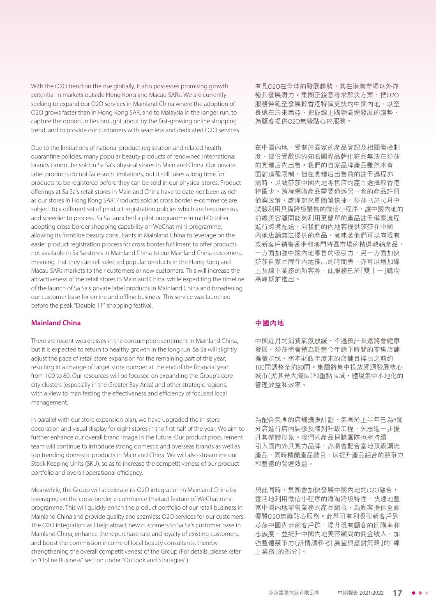With the O2O trend on the rise globally, it also possesses promising growth potential in markets outside Hong Kong and Macau SARs. We are currently seeking to expand our O2O services in Mainland China where the adoption of O2O grows faster than in Hong Kong SAR, and to Malaysia in the longer run, to capture the opportunities brought about by the fast-growing online shopping trend, and to provide our customers with seamless and dedicated O2O services.

Due to the limitations of national product registration and related health quarantine policies, many popular beauty products of renowned international brands cannot be sold in Sa Sa's physical stores in Mainland China. Our private label products do not face such limitations, but it still takes a long time for products to be registered before they can be sold in our physical stores. Product offerings at Sa Sa's retail stores in Mainland China have to date not been as rich as our stores in Hong Kong SAR. Products sold at cross border e-commerce are subject to a different set of product registration policies which are less onerous and speedier to process. Sa Sa launched a pilot programme in mid-October adopting cross-border shopping capability on WeChat mini-programme, allowing its frontline beauty consultants in Mainland China to leverage on the easier product registration process for cross border fulfilment to offer products not available in Sa Sa stores in Mainland China to our Mainland China customers, meaning that they can sell selected popular products in the Hong Kong and Macau SARs markets to their customers or new customers. This will increase the attractiveness of the retail stores in Mainland China, while expediting the timeline of the launch of Sa Sa's private label products in Mainland China and broadening our customer base for online and offline business. This service was launched before the peak "Double 11" shopping festival.

#### **Mainland China**

There are recent weaknesses in the consumption sentiment in Mainland China, but it is expected to return to healthy growth in the long run. Sa Sa will slightly adjust the pace of retail store expansion for the remaining part of this year, resulting in a change of target store number at the end of the financial year from 100 to 80. Our resources will be focused on expanding the Group's core city clusters (especially in the Greater Bay Area) and other strategic regions, with a view to manifesting the effectiveness and efficiency of focused local management.

In parallel with our store expansion plan, we have upgraded the in-store decoration and visual display for eight stores in the first half of the year. We aim to further enhance our overall brand image in the future. Our product procurement team will continue to introduce strong domestic and overseas brands as well as top trending domestic products in Mainland China. We will also streamline our Stock Keeping Units (SKU), so as to increase the competitiveness of our product portfolio and overall operational efficiency.

Meanwhile, the Group will accelerate its O2O integration in Mainland China by leveraging on the cross-border e-commerce (Haitao) feature of WeChat miniprogramme. This will quickly enrich the product portfolio of our retail business in Mainland China and provide quality and seamless O2O services for our customers. The O2O integration will help attract new customers to Sa Sa's customer base in Mainland China, enhance the repurchase rate and loyalty of existing customers, and boost the commission income of local beauty consultants, thereby strengthening the overall competitiveness of the Group (For details, please refer to "Online Business" section under "Outlook and Strategies'').

有見O2O在全球的發展趨勢,其在港澳市場以外亦 極具發展潛力。集團正銳意尋求解決方案,把O2O 服務伸延至發展較香港特區更快的中國內地、以至 長遠在馬來西亞,把握線上購物高速發展的趨勢, 為顧客提供O2O無縫貼心的服務。

在中國內地,受制於國家的產品登記及相關衞檢制 度,部份受歡迎的知名國際品牌化粧品無法在莎莎 的實體店內出售。我們的自家品牌產品雖然未有 面對這種限制,但在實體店出售前的註冊過程亦 需時,以致莎莎中國內地零售店的產品選擇較香港 特區少。跨境網購產品需要通過另一套的產品註冊 備案政策,處理起來更簡單快捷。莎莎已於10月中 試驗利用具備跨境購物的微信小程序,讓中國內地的 前線美容顧問能夠利用更簡單的產品註冊備案流程 進行跨境配送,向我們的內地客提供莎莎在中國 內地店舖無法提供的產品,意味著他們可以向現有 或新客戶銷售香港和澳門特區市場的精選熱銷產品, 一方面加強中國內地零售的吸引力,另一方面加快 莎莎自家品牌在內地推出的時間表,亦可以增加線 上及線下業務的新客源,此服務已於「雙十一」購物 高峰期前推出。

#### **中國內地**

中國近月的消費氣氛放緩,不過預計長遠將會健康 發展。莎莎將會稍為調整今年餘下時間的零售店舖 擴張步伐,將本財政年度末的店舖目標由之前約 100間調整至約80間。集團將集中投放資源發展核心 城市(尤其是大灣區)和重點區域,體現集中本地化的 管理效益和效率。

為配合集團的店舖擴張計劃,集團於上半年已為8間 分店進行店內裝修及陳列升級工程,矢志進一步提 升其整體形象。我們的產品採購團隊也將持續 引入國內外具實力品牌,亦將會配合當地頂級潮流 產品,同時精簡產品數目,以提升產品組合的競爭力 和整體的營運效益。

與此同時,集團會加快發展中國內地的O2O融合, 靈活地利用微信小程序的海淘跨境特性,快速地豐 富中國內地零售業務的產品組合,為顧客提供全面 優質O2O無縫貼心服務。此舉可有利吸引新客戶到 莎莎中國內地的客戶群,提升現有顧客的回購率和 忠誠度,並提升中國內地美容顧問的佣金收入,加 強整體競爭力(詳情請參考「展望與應對策略」的「線 上業務」的部分)。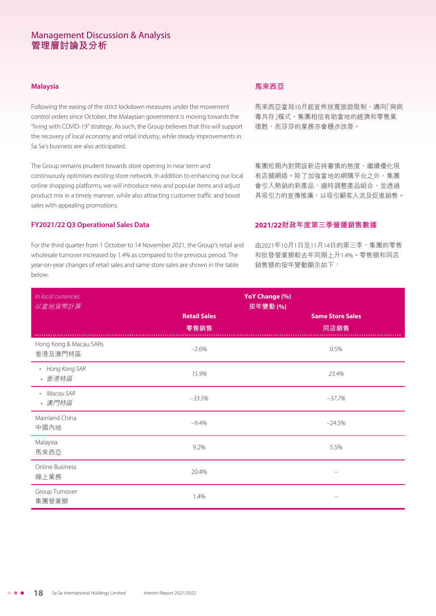#### **Malaysia**

Following the easing of the strict lockdown measures under the movement control orders since October, the Malaysian government is moving towards the "living with COVID-19" strategy. As such, the Group believes that this will support the recovery of local economy and retail industry, while steady improvements in Sa Sa's business are also anticipated.

The Group remains prudent towards store opening in near term and continuously optimises existing store network. In addition to enhancing our local online shopping platforms, we will introduce new and popular items and adjust product mix in a timely manner, while also attracting customer traffic and boost sales with appealing promotions.

#### **FY2021/22 Q3 Operational Sales Data**

For the third quarter from 1 October to 14 November 2021, the Group's retail and wholesale turnover increased by 1.4% as compared to the previous period. The year-on-year changes of retail sales and same store sales are shown in the table below.

### **馬來西亞**

馬來西亞當局10月起宣佈放寬旅遊限制,邁向「與病 毒共存」模式,集團相信有助當地的經濟和零售業 復甦,而莎莎的業務亦會穩步改善。

集團短期內對開設新店持審慎的態度,繼續優化現 有店舖網絡。除了加強當地的網購平台之外,集團 會引入熱銷的新產品,適時調整產品組合,並透過 具吸引力的宣傳推廣,以吸引顧客人流及促進銷售。

# **2021/22財政年度第三季營運銷售數據**

由2021年10月1日至11月14日的第三季,集團的零售 和批發營業額較去年同期上升1.4%。零售額和同店 銷售額的按年變動顯示如下:

| In local currencies<br>以當地貨幣計算    | <b>YoY Change (%)</b><br>按年變動 (%) |                                 |  |  |  |
|-----------------------------------|-----------------------------------|---------------------------------|--|--|--|
|                                   | <b>Retail Sales</b><br>零售銷售       | <b>Same Store Sales</b><br>同店銷售 |  |  |  |
| Hong Kong & Macau SARs<br>香港及澳門特區 | $-2.6%$                           | 0.5%                            |  |  |  |
| • Hong Kong SAR<br>• 香港特區         | 15.9%                             | 23.4%                           |  |  |  |
| • Macau SAR<br>• 澳門特區             | $-33.5%$                          | $-37.7%$                        |  |  |  |
| Mainland China<br>中國內地            | $-9.4%$                           | $-24.5%$                        |  |  |  |
| Malaysia<br>馬來西亞                  | 9.2%                              | 5.5%                            |  |  |  |
| Online Business<br>線上業務           | 20.4%                             |                                 |  |  |  |
| Group Turnover<br>集團營業額           | 1.4%                              |                                 |  |  |  |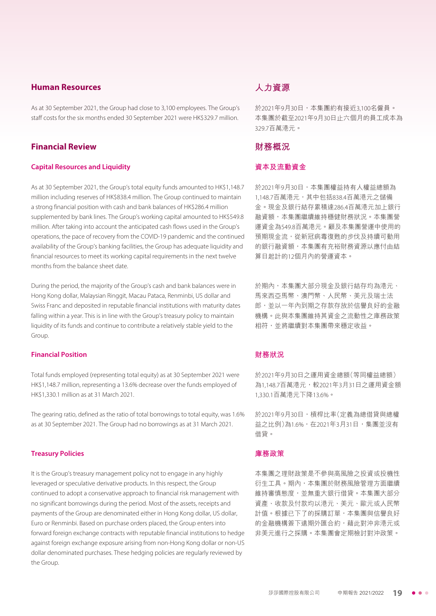### **Human Resources**

As at 30 September 2021, the Group had close to 3,100 employees. The Group's staff costs for the six months ended 30 September 2021 were HK\$329.7 million.

### **Financial Review**

#### **Capital Resources and Liquidity**

As at 30 September 2021, the Group's total equity funds amounted to HK\$1,148.7 million including reserves of HK\$838.4 million. The Group continued to maintain a strong financial position with cash and bank balances of HK\$286.4 million supplemented by bank lines. The Group's working capital amounted to HK\$549.8 million. After taking into account the anticipated cash flows used in the Group's operations, the pace of recovery from the COVID-19 pandemic and the continued availability of the Group's banking facilities, the Group has adequate liquidity and financial resources to meet its working capital requirements in the next twelve months from the balance sheet date.

During the period, the majority of the Group's cash and bank balances were in Hong Kong dollar, Malaysian Ringgit, Macau Pataca, Renminbi, US dollar and Swiss Franc and deposited in reputable financial institutions with maturity dates falling within a year. This is in line with the Group's treasury policy to maintain liquidity of its funds and continue to contribute a relatively stable yield to the Group

### **Financial Position**

Total funds employed (representing total equity) as at 30 September 2021 were HK\$1,148.7 million, representing a 13.6% decrease over the funds employed of HK\$1,330.1 million as at 31 March 2021.

The gearing ratio, defined as the ratio of total borrowings to total equity, was 1.6% as at 30 September 2021. The Group had no borrowings as at 31 March 2021.

#### **Treasury Policies**

It is the Group's treasury management policy not to engage in any highly leveraged or speculative derivative products. In this respect, the Group continued to adopt a conservative approach to financial risk management with no significant borrowings during the period. Most of the assets, receipts and payments of the Group are denominated either in Hong Kong dollar, US dollar, Euro or Renminbi. Based on purchase orders placed, the Group enters into forward foreign exchange contracts with reputable financial institutions to hedge against foreign exchange exposure arising from non-Hong Kong dollar or non-US dollar denominated purchases. These hedging policies are regularly reviewed by the Group.

# **人力資源**

於2021年9月30日,本集團約有接近3,100名僱員。 本集團於截至2021年9月30日止六個月的員工成本為 329.7百萬港元。

### **財務概況**

### **資本及流動資金**

於2021年9月30日,本集團權益持有人權益總額為 1,148.7百萬港元,其中包括838.4百萬港元之儲備 金。現金及銀行結存累積達286.4百萬港元加上銀行 融資額,本集團繼續維持穩健財務狀況。本集團營 運資金為549.8百萬港元。顧及本集團營運中使用的 預期現金流,從新冠病毒復甦的步伐及持續可動用 的銀行融資額,本集團有充裕財務資源以應付由結 算日起計的12個月內的營運資本。

於期內,本集團大部分現金及銀行結存均為港元、 馬來西亞馬幣、澳門幣、人民幣、美元及瑞士法 郎,並以一年內到期之存款存放於信譽良好的金融 機構。此與本集團維持其資金之流動性之庫務政策 相符,並將繼續對本集團帶來穩定收益。

#### **財務狀況**

於2021年9月30日之運用資金總額(等同權益總額) 為1,148.7百萬港元,較2021年3月31日之運用資金額 1,330.1百萬港元下降13.6%。

於2021年9月30日,槓桿比率(定義為總借貸與總權 益之比例)為1.6%,在2021年3月31日,集團並沒有 借貸。

### **庫務政策**

本集團之理財政策是不參與高風險之投資或投機性 衍生工具。期內,本集團於財務風險管理方面繼續 維持審慎態度,並無重大銀行借貸。本集團大部分 資產、收款及付款均以港元、美元、歐元或人民幣 計值。根據已下了的採購訂單,本集團與信譽良好 的金融機構簽下遠期外匯合約,藉此對沖非港元或 非美元進行之採購。本集團會定期檢討對沖政策。